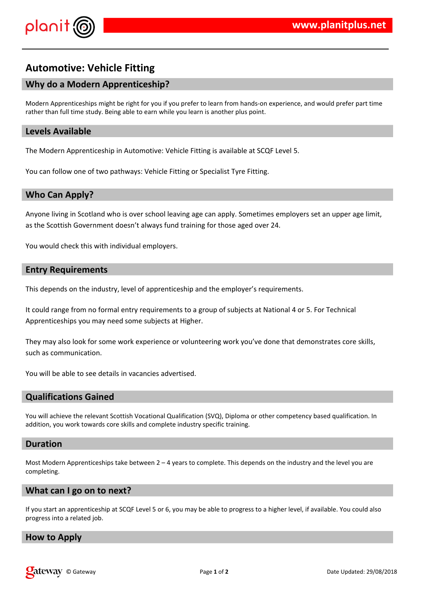

# **Automotive: Vehicle Fitting**

# **Why do a Modern Apprenticeship?**

Modern Apprenticeships might be right for you if you prefer to learn from hands-on experience, and would prefer part time rather than full time study. Being able to earn while you learn is another plus point.

## **Levels Available**

The Modern Apprenticeship in Automotive: Vehicle Fitting is available at SCQF Level 5.

You can follow one of two pathways: Vehicle Fitting or Specialist Tyre Fitting.

## **Who Can Apply?**

Anyone living in Scotland who is over school leaving age can apply. Sometimes employers set an upper age limit, as the Scottish Government doesn't always fund training for those aged over 24.

You would check this with individual employers.

## **Entry Requirements**

This depends on the industry, level of apprenticeship and the employer's requirements.

It could range from no formal entry requirements to a group of subjects at National 4 or 5. For Technical Apprenticeships you may need some subjects at Higher.

They may also look for some work experience or volunteering work you've done that demonstrates core skills, such as communication.

You will be able to see details in vacancies advertised.

# **Qualifications Gained**

You will achieve the relevant Scottish Vocational Qualification (SVQ), Diploma or other competency based qualification. In addition, you work towards core skills and complete industry specific training.

#### **Duration**

Most Modern Apprenticeships take between  $2 - 4$  years to complete. This depends on the industry and the level you are completing.

#### **What can I go on to next?**

If you start an apprenticeship at SCQF Level 5 or 6, you may be able to progress to a higher level, if available. You could also progress into a related job.

#### **How to Apply**